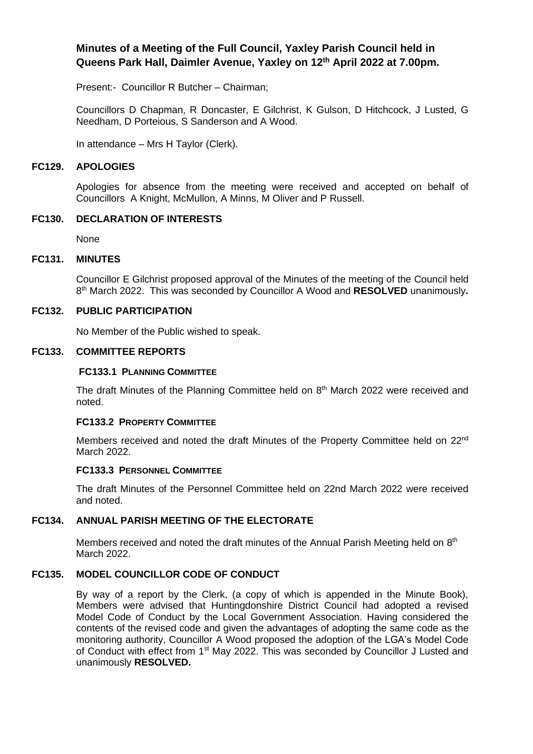# **Minutes of a Meeting of the Full Council, Yaxley Parish Council held in Queens Park Hall, Daimler Avenue, Yaxley on 12th April 2022 at 7.00pm.**

Present:- Councillor R Butcher – Chairman;

Councillors D Chapman, R Doncaster, E Gilchrist, K Gulson, D Hitchcock, J Lusted, G Needham, D Porteious, S Sanderson and A Wood.

In attendance – Mrs H Taylor (Clerk).

### **FC129. APOLOGIES**

Apologies for absence from the meeting were received and accepted on behalf of Councillors A Knight, McMullon, A Minns, M Oliver and P Russell.

### **FC130. DECLARATION OF INTERESTS**

None

### **FC131. MINUTES**

Councillor E Gilchrist proposed approval of the Minutes of the meeting of the Council held 8 th March 2022. This was seconded by Councillor A Wood and **RESOLVED** unanimously**.**

## **FC132. PUBLIC PARTICIPATION**

No Member of the Public wished to speak.

### **FC133. COMMITTEE REPORTS**

### **FC133.1 PLANNING COMMITTEE**

The draft Minutes of the Planning Committee held on 8<sup>th</sup> March 2022 were received and noted.

## **FC133.2 PROPERTY COMMITTEE**

Members received and noted the draft Minutes of the Property Committee held on 22<sup>nd</sup> March 2022.

### **FC133.3 PERSONNEL COMMITTEE**

The draft Minutes of the Personnel Committee held on 22nd March 2022 were received and noted.

## **FC134. ANNUAL PARISH MEETING OF THE ELECTORATE**

Members received and noted the draft minutes of the Annual Parish Meeting held on 8<sup>th</sup> March 2022.

## **FC135. MODEL COUNCILLOR CODE OF CONDUCT**

By way of a report by the Clerk, (a copy of which is appended in the Minute Book), Members were advised that Huntingdonshire District Council had adopted a revised Model Code of Conduct by the Local Government Association. Having considered the contents of the revised code and given the advantages of adopting the same code as the monitoring authority, Councillor A Wood proposed the adoption of the LGA's Model Code of Conduct with effect from 1<sup>st</sup> May 2022. This was seconded by Councillor J Lusted and unanimously **RESOLVED.**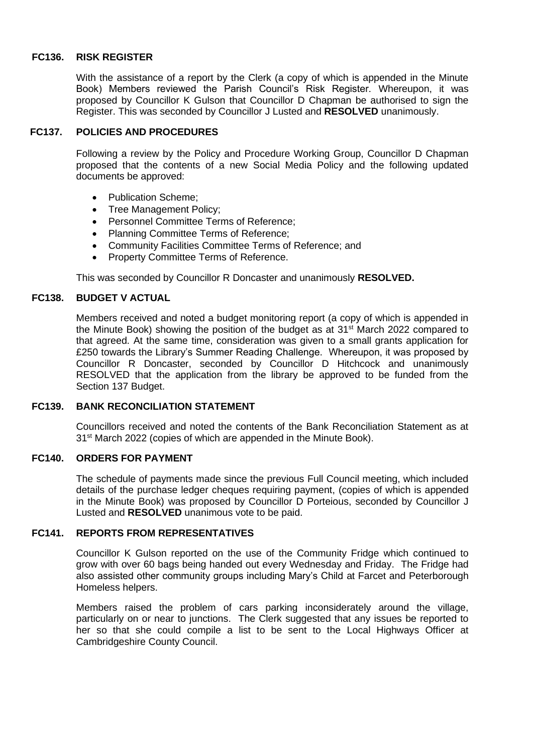## **FC136. RISK REGISTER**

With the assistance of a report by the Clerk (a copy of which is appended in the Minute Book) Members reviewed the Parish Council's Risk Register. Whereupon, it was proposed by Councillor K Gulson that Councillor D Chapman be authorised to sign the Register. This was seconded by Councillor J Lusted and **RESOLVED** unanimously.

### **FC137. POLICIES AND PROCEDURES**

Following a review by the Policy and Procedure Working Group, Councillor D Chapman proposed that the contents of a new Social Media Policy and the following updated documents be approved:

- Publication Scheme;
- Tree Management Policy;
- Personnel Committee Terms of Reference;
- Planning Committee Terms of Reference;
- Community Facilities Committee Terms of Reference; and
- Property Committee Terms of Reference.

This was seconded by Councillor R Doncaster and unanimously **RESOLVED.**

### **FC138. BUDGET V ACTUAL**

Members received and noted a budget monitoring report (a copy of which is appended in the Minute Book) showing the position of the budget as at  $31<sup>st</sup>$  March 2022 compared to that agreed. At the same time, consideration was given to a small grants application for £250 towards the Library's Summer Reading Challenge. Whereupon, it was proposed by Councillor R Doncaster, seconded by Councillor D Hitchcock and unanimously RESOLVED that the application from the library be approved to be funded from the Section 137 Budget.

## **FC139. BANK RECONCILIATION STATEMENT**

Councillors received and noted the contents of the Bank Reconciliation Statement as at 31<sup>st</sup> March 2022 (copies of which are appended in the Minute Book).

## **FC140. ORDERS FOR PAYMENT**

The schedule of payments made since the previous Full Council meeting, which included details of the purchase ledger cheques requiring payment, (copies of which is appended in the Minute Book) was proposed by Councillor D Porteious, seconded by Councillor J Lusted and **RESOLVED** unanimous vote to be paid.

### **FC141. REPORTS FROM REPRESENTATIVES**

Councillor K Gulson reported on the use of the Community Fridge which continued to grow with over 60 bags being handed out every Wednesday and Friday. The Fridge had also assisted other community groups including Mary's Child at Farcet and Peterborough Homeless helpers.

Members raised the problem of cars parking inconsiderately around the village, particularly on or near to junctions. The Clerk suggested that any issues be reported to her so that she could compile a list to be sent to the Local Highways Officer at Cambridgeshire County Council.